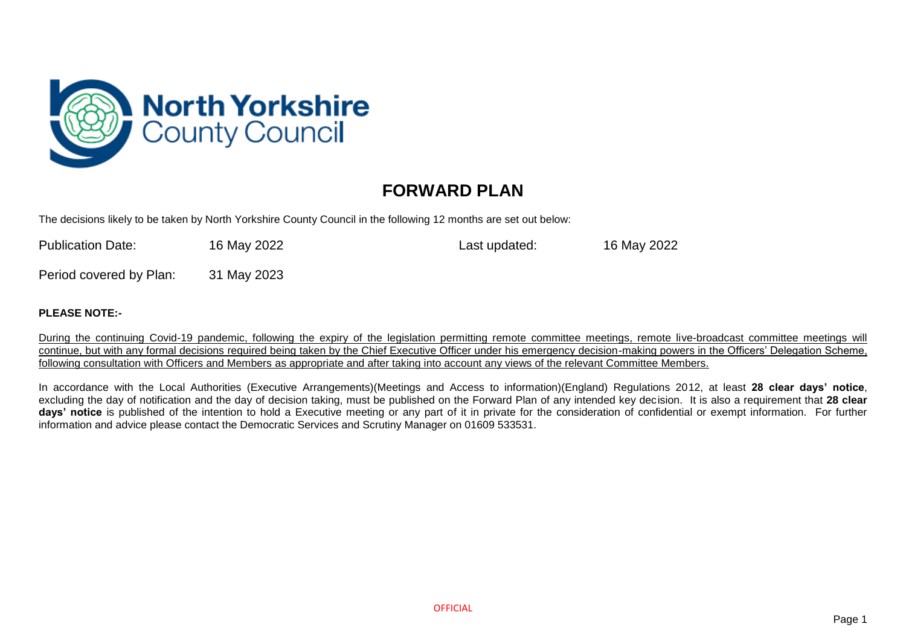

## **FORWARD PLAN**

The decisions likely to be taken by North Yorkshire County Council in the following 12 months are set out below:

| <b>Publication Date:</b> | 16 May 2022 | Last updated: | 16 May 2022 |
|--------------------------|-------------|---------------|-------------|
|                          |             |               |             |

Period covered by Plan: 31 May 2023

## **PLEASE NOTE:-**

During the continuing Covid-19 pandemic, following the expiry of the legislation permitting remote committee meetings, remote live-broadcast committee meetings will continue, but with any formal decisions required being taken by the Chief Executive Officer under his emergency decision-making powers in the Officers' Delegation Scheme, following consultation with Officers and Members as appropriate and after taking into account any views of the relevant Committee Members.

In accordance with the Local Authorities (Executive Arrangements)(Meetings and Access to information)(England) Regulations 2012, at least **28 clear days' notice**, excluding the day of notification and the day of decision taking, must be published on the Forward Plan of any intended key decision. It is also a requirement that **28 clear days' notice** is published of the intention to hold a Executive meeting or any part of it in private for the consideration of confidential or exempt information. For further information and advice please contact the Democratic Services and Scrutiny Manager on 01609 533531.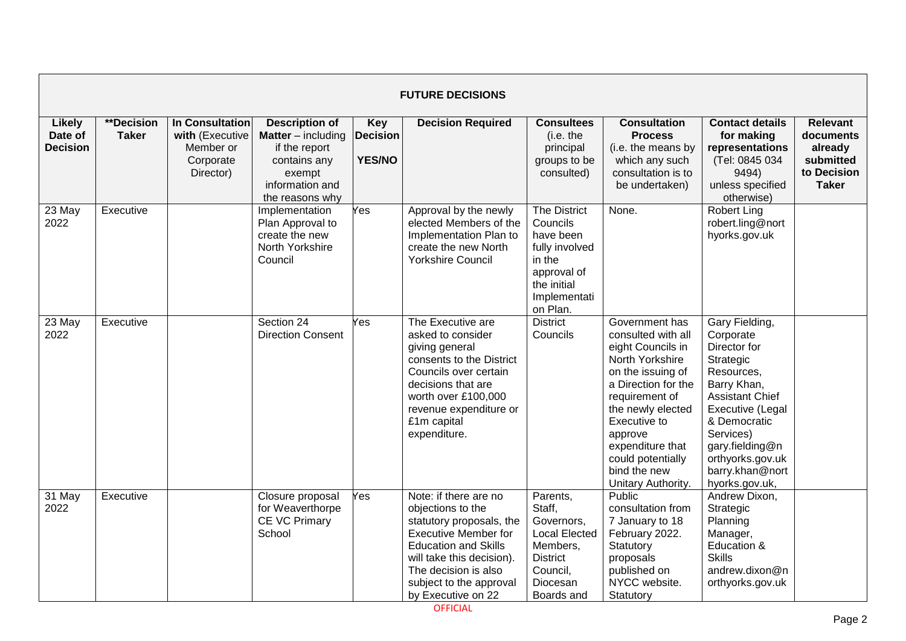| <b>FUTURE DECISIONS</b>                     |                                   |                                                                                  |                                                                                                                                     |                                                |                                                                                                                                                                                                                                            |                                                                                                                               |                                                                                                                                                                                                                                                                           |                                                                                                                                                                                                                                              |                                                                                     |  |  |
|---------------------------------------------|-----------------------------------|----------------------------------------------------------------------------------|-------------------------------------------------------------------------------------------------------------------------------------|------------------------------------------------|--------------------------------------------------------------------------------------------------------------------------------------------------------------------------------------------------------------------------------------------|-------------------------------------------------------------------------------------------------------------------------------|---------------------------------------------------------------------------------------------------------------------------------------------------------------------------------------------------------------------------------------------------------------------------|----------------------------------------------------------------------------------------------------------------------------------------------------------------------------------------------------------------------------------------------|-------------------------------------------------------------------------------------|--|--|
| <b>Likely</b><br>Date of<br><b>Decision</b> | <b>**Decision</b><br><b>Taker</b> | <b>In Consultation</b><br>with (Executive<br>Member or<br>Corporate<br>Director) | <b>Description of</b><br><b>Matter</b> – including<br>if the report<br>contains any<br>exempt<br>information and<br>the reasons why | <b>Key</b><br><b>Decision</b><br><b>YES/NO</b> | <b>Decision Required</b>                                                                                                                                                                                                                   | <b>Consultees</b><br>(i.e. the<br>principal<br>groups to be<br>consulted)                                                     | <b>Consultation</b><br><b>Process</b><br>(i.e. the means by<br>which any such<br>consultation is to<br>be undertaken)                                                                                                                                                     | <b>Contact details</b><br>for making<br>representations<br>(Tel: 0845 034<br>9494)<br>unless specified<br>otherwise)                                                                                                                         | <b>Relevant</b><br>documents<br>already<br>submitted<br>to Decision<br><b>Taker</b> |  |  |
| 23 May<br>2022                              | Executive                         |                                                                                  | Implementation<br>Plan Approval to<br>create the new<br>North Yorkshire<br>Council                                                  | Yes                                            | Approval by the newly<br>elected Members of the<br>Implementation Plan to<br>create the new North<br><b>Yorkshire Council</b>                                                                                                              | The District<br>Councils<br>have been<br>fully involved<br>in the<br>approval of<br>the initial<br>Implementati<br>on Plan.   | None.                                                                                                                                                                                                                                                                     | <b>Robert Ling</b><br>robert.ling@nort<br>hyorks.gov.uk                                                                                                                                                                                      |                                                                                     |  |  |
| 23 May<br>2022                              | Executive                         |                                                                                  | Section 24<br><b>Direction Consent</b>                                                                                              | Yes                                            | The Executive are<br>asked to consider<br>giving general<br>consents to the District<br>Councils over certain<br>decisions that are<br>worth over £100,000<br>revenue expenditure or<br>£1m capital<br>expenditure.                        | <b>District</b><br>Councils                                                                                                   | Government has<br>consulted with all<br>eight Councils in<br>North Yorkshire<br>on the issuing of<br>a Direction for the<br>requirement of<br>the newly elected<br>Executive to<br>approve<br>expenditure that<br>could potentially<br>bind the new<br>Unitary Authority. | Gary Fielding,<br>Corporate<br>Director for<br>Strategic<br>Resources,<br>Barry Khan,<br><b>Assistant Chief</b><br>Executive (Legal<br>& Democratic<br>Services)<br>gary.fielding@n<br>orthyorks.gov.uk<br>barry.khan@nort<br>hyorks.gov.uk, |                                                                                     |  |  |
| 31 May<br>2022                              | Executive                         |                                                                                  | Closure proposal<br>for Weaverthorpe<br><b>CE VC Primary</b><br>School                                                              | Yes                                            | Note: if there are no<br>objections to the<br>statutory proposals, the<br><b>Executive Member for</b><br><b>Education and Skills</b><br>will take this decision).<br>The decision is also<br>subject to the approval<br>by Executive on 22 | Parents,<br>Staff,<br>Governors,<br><b>Local Elected</b><br>Members,<br><b>District</b><br>Council,<br>Diocesan<br>Boards and | Public<br>consultation from<br>7 January to 18<br>February 2022.<br>Statutory<br>proposals<br>published on<br>NYCC website.<br>Statutory                                                                                                                                  | Andrew Dixon,<br>Strategic<br>Planning<br>Manager,<br>Education &<br><b>Skills</b><br>andrew.dixon@n<br>orthyorks.gov.uk                                                                                                                     |                                                                                     |  |  |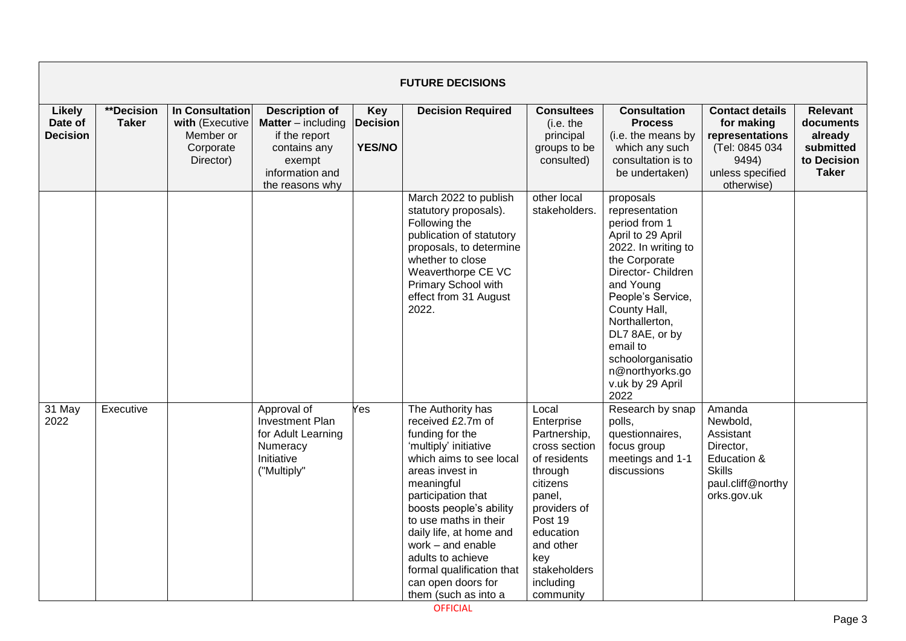|                                             | <b>FUTURE DECISIONS</b>    |                                                                           |                                                                                                                                     |                                                |                                                                                                                                                                                                                                                                                                                                                                          |                                                                                                                                                                                                             |                                                                                                                                                                                                                                                                                                       |                                                                                                                      |                                                                                     |  |  |  |
|---------------------------------------------|----------------------------|---------------------------------------------------------------------------|-------------------------------------------------------------------------------------------------------------------------------------|------------------------------------------------|--------------------------------------------------------------------------------------------------------------------------------------------------------------------------------------------------------------------------------------------------------------------------------------------------------------------------------------------------------------------------|-------------------------------------------------------------------------------------------------------------------------------------------------------------------------------------------------------------|-------------------------------------------------------------------------------------------------------------------------------------------------------------------------------------------------------------------------------------------------------------------------------------------------------|----------------------------------------------------------------------------------------------------------------------|-------------------------------------------------------------------------------------|--|--|--|
| <b>Likely</b><br>Date of<br><b>Decision</b> | **Decision<br><b>Taker</b> | In Consultation<br>with (Executive<br>Member or<br>Corporate<br>Director) | <b>Description of</b><br><b>Matter</b> – including<br>if the report<br>contains any<br>exempt<br>information and<br>the reasons why | <b>Key</b><br><b>Decision</b><br><b>YES/NO</b> | <b>Decision Required</b>                                                                                                                                                                                                                                                                                                                                                 | <b>Consultees</b><br>(i.e. the<br>principal<br>groups to be<br>consulted)                                                                                                                                   | <b>Consultation</b><br><b>Process</b><br>(i.e. the means by<br>which any such<br>consultation is to<br>be undertaken)                                                                                                                                                                                 | <b>Contact details</b><br>for making<br>representations<br>(Tel: 0845 034<br>9494)<br>unless specified<br>otherwise) | <b>Relevant</b><br>documents<br>already<br>submitted<br>to Decision<br><b>Taker</b> |  |  |  |
|                                             |                            |                                                                           |                                                                                                                                     |                                                | March 2022 to publish<br>statutory proposals).<br>Following the<br>publication of statutory<br>proposals, to determine<br>whether to close<br>Weaverthorpe CE VC<br>Primary School with<br>effect from 31 August<br>2022.                                                                                                                                                | other local<br>stakeholders.                                                                                                                                                                                | proposals<br>representation<br>period from 1<br>April to 29 April<br>2022. In writing to<br>the Corporate<br>Director- Children<br>and Young<br>People's Service,<br>County Hall,<br>Northallerton,<br>DL7 8AE, or by<br>email to<br>schoolorganisatio<br>n@northyorks.go<br>v.uk by 29 April<br>2022 |                                                                                                                      |                                                                                     |  |  |  |
| 31 May<br>2022                              | Executive                  |                                                                           | Approval of<br><b>Investment Plan</b><br>for Adult Learning<br>Numeracy<br>Initiative<br>("Multiply"                                | Yes                                            | The Authority has<br>received £2.7m of<br>funding for the<br>'multiply' initiative<br>which aims to see local<br>areas invest in<br>meaningful<br>participation that<br>boosts people's ability<br>to use maths in their<br>daily life, at home and<br>work - and enable<br>adults to achieve<br>formal qualification that<br>can open doors for<br>them (such as into a | Local<br>Enterprise<br>Partnership,<br>cross section<br>of residents<br>through<br>citizens<br>panel,<br>providers of<br>Post 19<br>education<br>and other<br>key<br>stakeholders<br>including<br>community | Research by snap<br>polls,<br>questionnaires,<br>focus group<br>meetings and 1-1<br>discussions                                                                                                                                                                                                       | Amanda<br>Newbold,<br>Assistant<br>Director,<br>Education &<br><b>Skills</b><br>paul.cliff@northy<br>orks.gov.uk     |                                                                                     |  |  |  |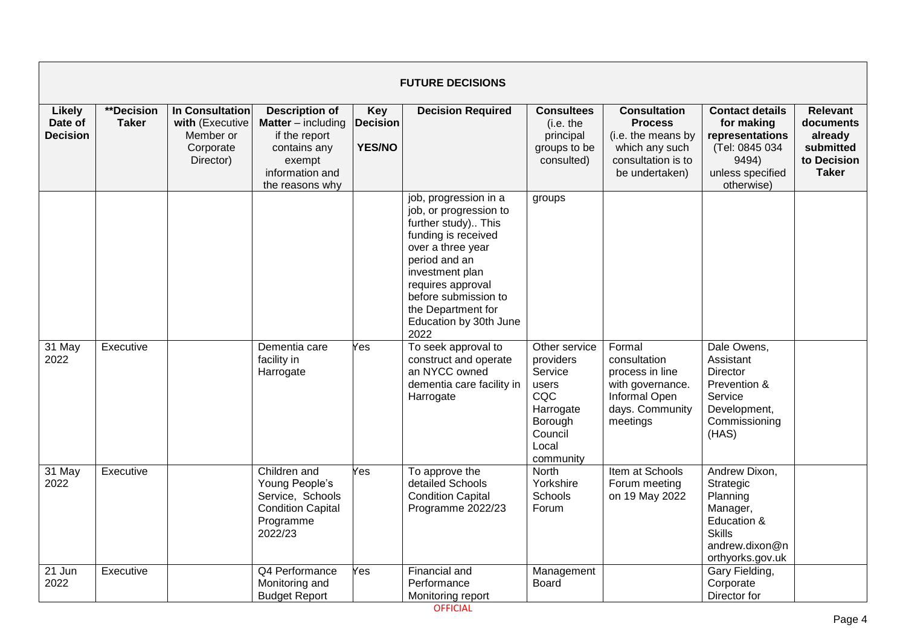|                                             | <b>FUTURE DECISIONS</b>    |                                                                           |                                                                                                                                     |                                                |                                                                                                                                                                                                                                                             |                                                                                                                |                                                                                                                       |                                                                                                                          |                                                                                     |  |  |  |
|---------------------------------------------|----------------------------|---------------------------------------------------------------------------|-------------------------------------------------------------------------------------------------------------------------------------|------------------------------------------------|-------------------------------------------------------------------------------------------------------------------------------------------------------------------------------------------------------------------------------------------------------------|----------------------------------------------------------------------------------------------------------------|-----------------------------------------------------------------------------------------------------------------------|--------------------------------------------------------------------------------------------------------------------------|-------------------------------------------------------------------------------------|--|--|--|
| <b>Likely</b><br>Date of<br><b>Decision</b> | **Decision<br><b>Taker</b> | In Consultation<br>with (Executive<br>Member or<br>Corporate<br>Director) | <b>Description of</b><br><b>Matter</b> – including<br>if the report<br>contains any<br>exempt<br>information and<br>the reasons why | <b>Key</b><br><b>Decision</b><br><b>YES/NO</b> | <b>Decision Required</b>                                                                                                                                                                                                                                    | <b>Consultees</b><br>(i.e. the<br>principal<br>groups to be<br>consulted)                                      | <b>Consultation</b><br><b>Process</b><br>(i.e. the means by<br>which any such<br>consultation is to<br>be undertaken) | <b>Contact details</b><br>for making<br>representations<br>(Tel: 0845 034<br>9494)<br>unless specified<br>otherwise)     | <b>Relevant</b><br>documents<br>already<br>submitted<br>to Decision<br><b>Taker</b> |  |  |  |
|                                             |                            |                                                                           |                                                                                                                                     |                                                | job, progression in a<br>job, or progression to<br>further study) This<br>funding is received<br>over a three year<br>period and an<br>investment plan<br>requires approval<br>before submission to<br>the Department for<br>Education by 30th June<br>2022 | groups                                                                                                         |                                                                                                                       |                                                                                                                          |                                                                                     |  |  |  |
| 31 May<br>2022                              | Executive                  |                                                                           | Dementia care<br>facility in<br>Harrogate                                                                                           | Yes                                            | To seek approval to<br>construct and operate<br>an NYCC owned<br>dementia care facility in<br>Harrogate                                                                                                                                                     | Other service<br>providers<br>Service<br>users<br>CQC<br>Harrogate<br>Borough<br>Council<br>Local<br>community | Formal<br>consultation<br>process in line<br>with governance.<br>Informal Open<br>days. Community<br>meetings         | Dale Owens,<br>Assistant<br><b>Director</b><br>Prevention &<br>Service<br>Development,<br>Commissioning<br>(HAS)         |                                                                                     |  |  |  |
| 31 May<br>2022                              | Executive                  |                                                                           | Children and<br>Young People's<br>Service, Schools<br><b>Condition Capital</b><br>Programme<br>2022/23                              | Yes                                            | To approve the<br>detailed Schools<br><b>Condition Capital</b><br>Programme 2022/23                                                                                                                                                                         | <b>North</b><br>Yorkshire<br>Schools<br>Forum                                                                  | Item at Schools<br>Forum meeting<br>on 19 May 2022                                                                    | Andrew Dixon,<br>Strategic<br>Planning<br>Manager,<br>Education &<br><b>Skills</b><br>andrew.dixon@n<br>orthyorks.gov.uk |                                                                                     |  |  |  |
| 21 Jun<br>2022                              | Executive                  |                                                                           | Q4 Performance<br>Monitoring and<br><b>Budget Report</b>                                                                            | Yes                                            | Financial and<br>Performance<br>Monitoring report                                                                                                                                                                                                           | Management<br>Board                                                                                            |                                                                                                                       | Gary Fielding,<br>Corporate<br>Director for                                                                              |                                                                                     |  |  |  |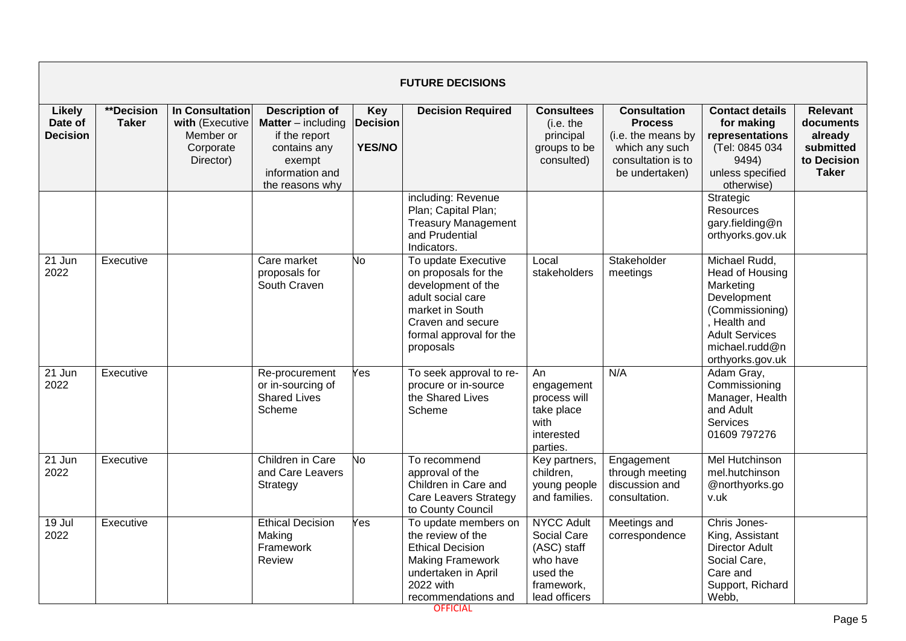|                                      | <b>FUTURE DECISIONS</b>    |                                                                                  |                                                                                                                                     |                                                |                                                                                                                                                                        |                                                                                                        |                                                                                                                       |                                                                                                                                                                |                                                                                     |  |  |  |
|--------------------------------------|----------------------------|----------------------------------------------------------------------------------|-------------------------------------------------------------------------------------------------------------------------------------|------------------------------------------------|------------------------------------------------------------------------------------------------------------------------------------------------------------------------|--------------------------------------------------------------------------------------------------------|-----------------------------------------------------------------------------------------------------------------------|----------------------------------------------------------------------------------------------------------------------------------------------------------------|-------------------------------------------------------------------------------------|--|--|--|
| Likely<br>Date of<br><b>Decision</b> | **Decision<br><b>Taker</b> | <b>In Consultation</b><br>with (Executive<br>Member or<br>Corporate<br>Director) | <b>Description of</b><br><b>Matter</b> – including<br>if the report<br>contains any<br>exempt<br>information and<br>the reasons why | <b>Key</b><br><b>Decision</b><br><b>YES/NO</b> | <b>Decision Required</b>                                                                                                                                               | <b>Consultees</b><br>(i.e. the<br>principal<br>groups to be<br>consulted)                              | <b>Consultation</b><br><b>Process</b><br>(i.e. the means by<br>which any such<br>consultation is to<br>be undertaken) | <b>Contact details</b><br>for making<br>representations<br>(Tel: 0845 034<br>9494)<br>unless specified<br>otherwise)                                           | <b>Relevant</b><br>documents<br>already<br>submitted<br>to Decision<br><b>Taker</b> |  |  |  |
|                                      |                            |                                                                                  |                                                                                                                                     |                                                | including: Revenue<br>Plan; Capital Plan;<br><b>Treasury Management</b><br>and Prudential<br>Indicators.                                                               |                                                                                                        |                                                                                                                       | Strategic<br>Resources<br>gary.fielding@n<br>orthyorks.gov.uk                                                                                                  |                                                                                     |  |  |  |
| 21 Jun<br>2022                       | Executive                  |                                                                                  | Care market<br>proposals for<br>South Craven                                                                                        | No                                             | To update Executive<br>on proposals for the<br>development of the<br>adult social care<br>market in South<br>Craven and secure<br>formal approval for the<br>proposals | Local<br>stakeholders                                                                                  | Stakeholder<br>meetings                                                                                               | Michael Rudd,<br>Head of Housing<br>Marketing<br>Development<br>(Commissioning)<br>, Health and<br><b>Adult Services</b><br>michael.rudd@n<br>orthyorks.gov.uk |                                                                                     |  |  |  |
| 21 Jun<br>2022                       | Executive                  |                                                                                  | Re-procurement<br>or in-sourcing of<br><b>Shared Lives</b><br>Scheme                                                                | Yes                                            | To seek approval to re-<br>procure or in-source<br>the Shared Lives<br>Scheme                                                                                          | An<br>engagement<br>process will<br>take place<br>with<br>interested<br>parties.                       | N/A                                                                                                                   | Adam Gray,<br>Commissioning<br>Manager, Health<br>and Adult<br><b>Services</b><br>01609 797276                                                                 |                                                                                     |  |  |  |
| 21 Jun<br>2022                       | Executive                  |                                                                                  | Children in Care<br>and Care Leavers<br>Strategy                                                                                    | lо                                             | To recommend<br>approval of the<br>Children in Care and<br><b>Care Leavers Strategy</b><br>to County Council                                                           | Key partners,<br>children,<br>young people<br>and families.                                            | Engagement<br>through meeting<br>discussion and<br>consultation.                                                      | <b>Mel Hutchinson</b><br>mel.hutchinson<br>@northyorks.go<br>v.uk                                                                                              |                                                                                     |  |  |  |
| 19 Jul<br>2022                       | Executive                  |                                                                                  | <b>Ethical Decision</b><br>Making<br>Framework<br>Review                                                                            | Yes                                            | To update members on<br>the review of the<br><b>Ethical Decision</b><br><b>Making Framework</b><br>undertaken in April<br>2022 with<br>recommendations and             | <b>NYCC Adult</b><br>Social Care<br>(ASC) staff<br>who have<br>used the<br>framework,<br>lead officers | Meetings and<br>correspondence                                                                                        | Chris Jones-<br>King, Assistant<br><b>Director Adult</b><br>Social Care.<br>Care and<br>Support, Richard<br>Webb,                                              |                                                                                     |  |  |  |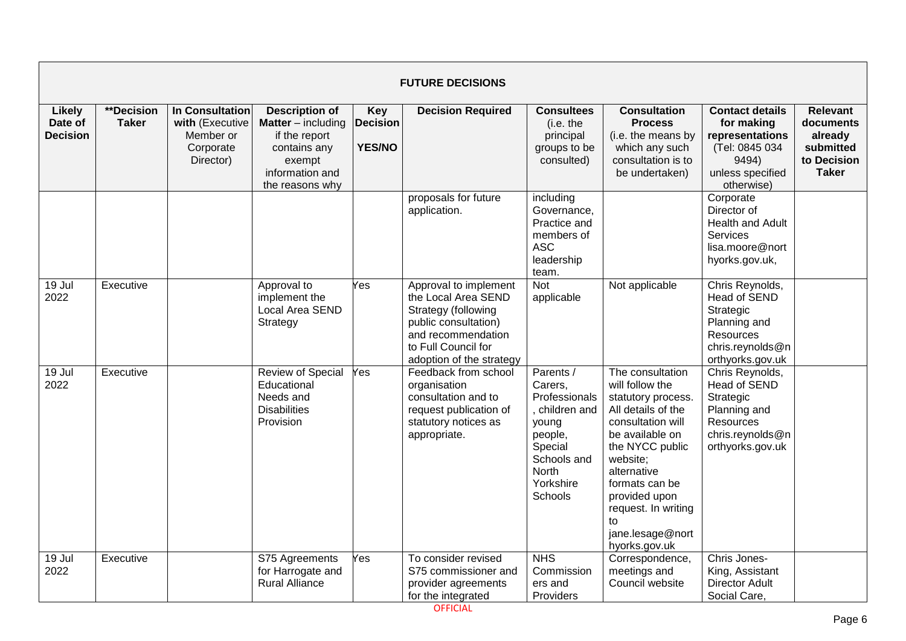|                                             | <b>FUTURE DECISIONS</b>           |                                                                           |                                                                                                                                       |                                                |                                                                                                                                                                      |                                                                                                                                      |                                                                                                                                                                                                                                                                            |                                                                                                                      |                                                                                     |  |  |  |
|---------------------------------------------|-----------------------------------|---------------------------------------------------------------------------|---------------------------------------------------------------------------------------------------------------------------------------|------------------------------------------------|----------------------------------------------------------------------------------------------------------------------------------------------------------------------|--------------------------------------------------------------------------------------------------------------------------------------|----------------------------------------------------------------------------------------------------------------------------------------------------------------------------------------------------------------------------------------------------------------------------|----------------------------------------------------------------------------------------------------------------------|-------------------------------------------------------------------------------------|--|--|--|
| <b>Likely</b><br>Date of<br><b>Decision</b> | <b>**Decision</b><br><b>Taker</b> | In Consultation<br>with (Executive<br>Member or<br>Corporate<br>Director) | <b>Description of</b><br><b>Matter</b> $-$ including<br>if the report<br>contains any<br>exempt<br>information and<br>the reasons why | <b>Key</b><br><b>Decision</b><br><b>YES/NO</b> | <b>Decision Required</b>                                                                                                                                             | <b>Consultees</b><br>(i.e. the<br>principal<br>groups to be<br>consulted)                                                            | <b>Consultation</b><br><b>Process</b><br>(i.e. the means by<br>which any such<br>consultation is to<br>be undertaken)                                                                                                                                                      | <b>Contact details</b><br>for making<br>representations<br>(Tel: 0845 034<br>9494)<br>unless specified<br>otherwise) | <b>Relevant</b><br>documents<br>already<br>submitted<br>to Decision<br><b>Taker</b> |  |  |  |
|                                             |                                   |                                                                           |                                                                                                                                       |                                                | proposals for future<br>application.                                                                                                                                 | including<br>Governance,<br>Practice and<br>members of<br><b>ASC</b><br>leadership<br>team.                                          |                                                                                                                                                                                                                                                                            | Corporate<br>Director of<br><b>Health and Adult</b><br>Services<br>lisa.moore@nort<br>hyorks.gov.uk,                 |                                                                                     |  |  |  |
| 19 Jul<br>2022                              | Executive                         |                                                                           | Approval to<br>implement the<br>Local Area SEND<br>Strategy                                                                           | Yes                                            | Approval to implement<br>the Local Area SEND<br>Strategy (following<br>public consultation)<br>and recommendation<br>to Full Council for<br>adoption of the strategy | <b>Not</b><br>applicable                                                                                                             | Not applicable                                                                                                                                                                                                                                                             | Chris Reynolds,<br>Head of SEND<br>Strategic<br>Planning and<br>Resources<br>chris.reynolds@n<br>orthyorks.gov.uk    |                                                                                     |  |  |  |
| 19 Jul<br>2022                              | Executive                         |                                                                           | <b>Review of Special</b><br>Educational<br>Needs and<br><b>Disabilities</b><br>Provision                                              | Yes                                            | Feedback from school<br>organisation<br>consultation and to<br>request publication of<br>statutory notices as<br>appropriate.                                        | Parents /<br>Carers,<br>Professionals<br>children and<br>young<br>people,<br>Special<br>Schools and<br>North<br>Yorkshire<br>Schools | The consultation<br>will follow the<br>statutory process.<br>All details of the<br>consultation will<br>be available on<br>the NYCC public<br>website;<br>alternative<br>formats can be<br>provided upon<br>request. In writing<br>to<br>jane.lesage@nort<br>hyorks.gov.uk | Chris Reynolds,<br>Head of SEND<br>Strategic<br>Planning and<br>Resources<br>chris.reynolds@n<br>orthyorks.gov.uk    |                                                                                     |  |  |  |
| 19 Jul<br>2022                              | Executive                         |                                                                           | S75 Agreements<br>for Harrogate and<br><b>Rural Alliance</b>                                                                          | Yes                                            | To consider revised<br>S75 commissioner and<br>provider agreements<br>for the integrated                                                                             | <b>NHS</b><br>Commission<br>ers and<br>Providers                                                                                     | Correspondence,<br>meetings and<br>Council website                                                                                                                                                                                                                         | Chris Jones-<br>King, Assistant<br><b>Director Adult</b><br>Social Care,                                             |                                                                                     |  |  |  |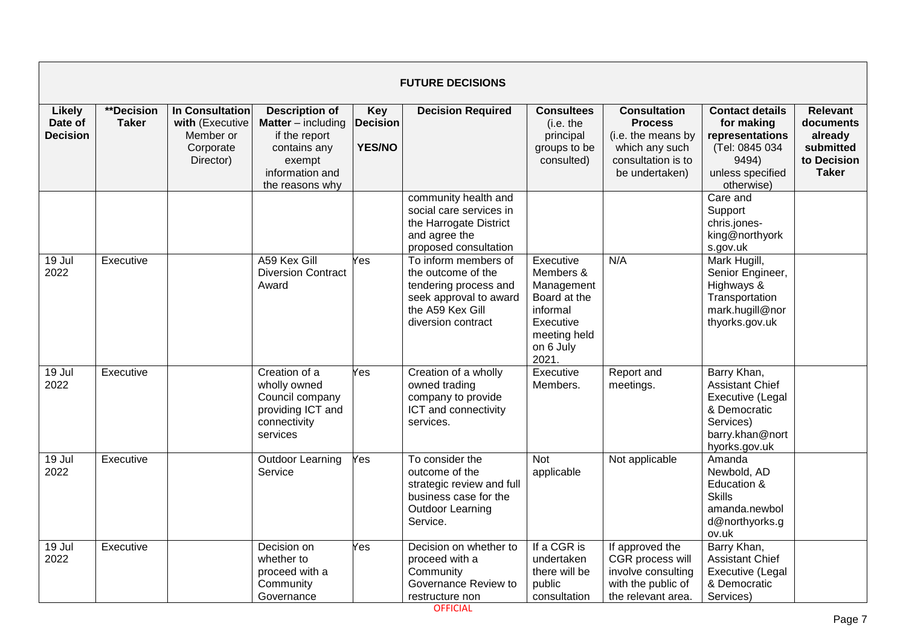|                                             | <b>FUTURE DECISIONS</b>    |                                                                           |                                                                                                                                     |                                                |                                                                                                                                         |                                                                                                                     |                                                                                                                       |                                                                                                                            |                                                                                     |  |  |  |
|---------------------------------------------|----------------------------|---------------------------------------------------------------------------|-------------------------------------------------------------------------------------------------------------------------------------|------------------------------------------------|-----------------------------------------------------------------------------------------------------------------------------------------|---------------------------------------------------------------------------------------------------------------------|-----------------------------------------------------------------------------------------------------------------------|----------------------------------------------------------------------------------------------------------------------------|-------------------------------------------------------------------------------------|--|--|--|
| <b>Likely</b><br>Date of<br><b>Decision</b> | **Decision<br><b>Taker</b> | In Consultation<br>with (Executive<br>Member or<br>Corporate<br>Director) | <b>Description of</b><br><b>Matter</b> – including<br>if the report<br>contains any<br>exempt<br>information and<br>the reasons why | <b>Key</b><br><b>Decision</b><br><b>YES/NO</b> | <b>Decision Required</b>                                                                                                                | <b>Consultees</b><br>(i.e. the<br>principal<br>groups to be<br>consulted)                                           | <b>Consultation</b><br><b>Process</b><br>(i.e. the means by<br>which any such<br>consultation is to<br>be undertaken) | <b>Contact details</b><br>for making<br>representations<br>(Tel: 0845 034<br>9494)<br>unless specified<br>otherwise)       | <b>Relevant</b><br>documents<br>already<br>submitted<br>to Decision<br><b>Taker</b> |  |  |  |
|                                             |                            |                                                                           |                                                                                                                                     |                                                | community health and<br>social care services in<br>the Harrogate District<br>and agree the<br>proposed consultation                     |                                                                                                                     |                                                                                                                       | Care and<br>Support<br>chris.jones-<br>king@northyork<br>s.gov.uk                                                          |                                                                                     |  |  |  |
| 19 Jul<br>2022                              | Executive                  |                                                                           | A59 Kex Gill<br><b>Diversion Contract</b><br>Award                                                                                  | $\overline{Yes}$                               | To inform members of<br>the outcome of the<br>tendering process and<br>seek approval to award<br>the A59 Kex Gill<br>diversion contract | Executive<br>Members &<br>Management<br>Board at the<br>informal<br>Executive<br>meeting held<br>on 6 July<br>2021. | N/A                                                                                                                   | Mark Hugill,<br>Senior Engineer,<br>Highways &<br>Transportation<br>mark.hugill@nor<br>thyorks.gov.uk                      |                                                                                     |  |  |  |
| $19$ Jul<br>2022                            | Executive                  |                                                                           | Creation of a<br>wholly owned<br>Council company<br>providing ICT and<br>connectivity<br>services                                   | Yes                                            | Creation of a wholly<br>owned trading<br>company to provide<br>ICT and connectivity<br>services.                                        | Executive<br>Members.                                                                                               | Report and<br>meetings.                                                                                               | Barry Khan,<br><b>Assistant Chief</b><br>Executive (Legal<br>& Democratic<br>Services)<br>barry.khan@nort<br>hyorks.gov.uk |                                                                                     |  |  |  |
| 19 Jul<br>2022                              | Executive                  |                                                                           | <b>Outdoor Learning</b><br>Service                                                                                                  | Yes                                            | To consider the<br>outcome of the<br>strategic review and full<br>business case for the<br><b>Outdoor Learning</b><br>Service.          | <b>Not</b><br>applicable                                                                                            | Not applicable                                                                                                        | Amanda<br>Newbold, AD<br>Education &<br><b>Skills</b><br>amanda.newbol<br>d@northyorks.g<br>ov.uk                          |                                                                                     |  |  |  |
| 19 Jul<br>2022                              | Executive                  |                                                                           | Decision on<br>whether to<br>proceed with a<br>Community<br>Governance                                                              | Yes                                            | Decision on whether to<br>proceed with a<br>Community<br>Governance Review to<br>restructure non                                        | If a CGR is<br>undertaken<br>there will be<br>public<br>consultation                                                | If approved the<br>CGR process will<br>involve consulting<br>with the public of<br>the relevant area.                 | Barry Khan,<br><b>Assistant Chief</b><br>Executive (Legal<br>& Democratic<br>Services)                                     |                                                                                     |  |  |  |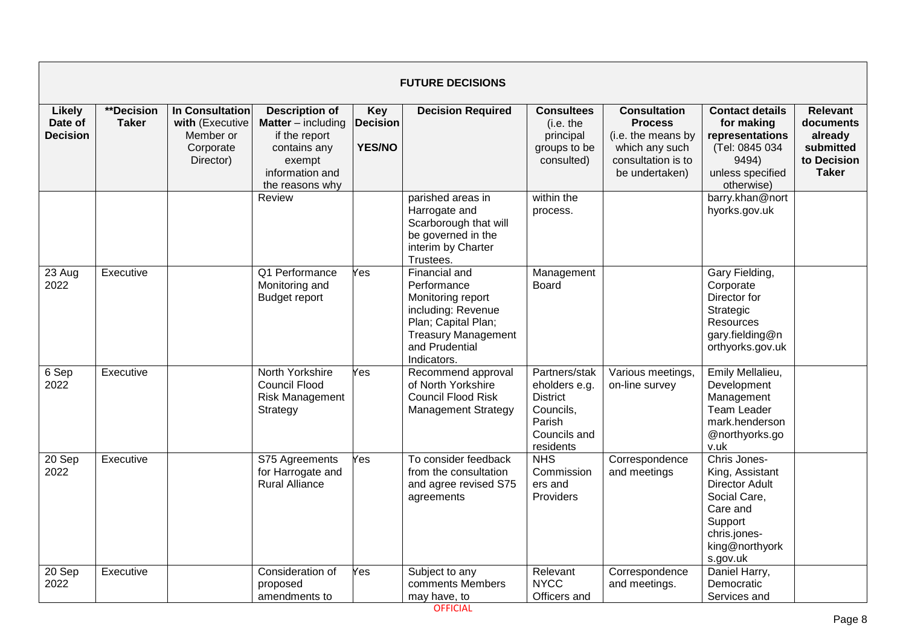|                                             | <b>FUTURE DECISIONS</b>           |                                                                           |                                                                                                                                     |                                                |                                                                                                                                                               |                                                                                                       |                                                                                                                       |                                                                                                                                               |                                                                                     |  |  |  |
|---------------------------------------------|-----------------------------------|---------------------------------------------------------------------------|-------------------------------------------------------------------------------------------------------------------------------------|------------------------------------------------|---------------------------------------------------------------------------------------------------------------------------------------------------------------|-------------------------------------------------------------------------------------------------------|-----------------------------------------------------------------------------------------------------------------------|-----------------------------------------------------------------------------------------------------------------------------------------------|-------------------------------------------------------------------------------------|--|--|--|
| <b>Likely</b><br>Date of<br><b>Decision</b> | <b>**Decision</b><br><b>Taker</b> | In Consultation<br>with (Executive<br>Member or<br>Corporate<br>Director) | <b>Description of</b><br><b>Matter</b> – including<br>if the report<br>contains any<br>exempt<br>information and<br>the reasons why | <b>Key</b><br><b>Decision</b><br><b>YES/NO</b> | <b>Decision Required</b>                                                                                                                                      | <b>Consultees</b><br>(i.e. the<br>principal<br>groups to be<br>consulted)                             | <b>Consultation</b><br><b>Process</b><br>(i.e. the means by<br>which any such<br>consultation is to<br>be undertaken) | <b>Contact details</b><br>for making<br>representations<br>(Tel: 0845 034<br>9494)<br>unless specified<br>otherwise)                          | <b>Relevant</b><br>documents<br>already<br>submitted<br>to Decision<br><b>Taker</b> |  |  |  |
|                                             |                                   |                                                                           | Review                                                                                                                              |                                                | parished areas in<br>Harrogate and<br>Scarborough that will<br>be governed in the<br>interim by Charter<br>Trustees.                                          | within the<br>process.                                                                                |                                                                                                                       | barry.khan@nort<br>hyorks.gov.uk                                                                                                              |                                                                                     |  |  |  |
| 23 Aug<br>2022                              | Executive                         |                                                                           | Q1 Performance<br>Monitoring and<br><b>Budget report</b>                                                                            | Yes                                            | Financial and<br>Performance<br>Monitoring report<br>including: Revenue<br>Plan; Capital Plan;<br><b>Treasury Management</b><br>and Prudential<br>Indicators. | Management<br><b>Board</b>                                                                            |                                                                                                                       | Gary Fielding,<br>Corporate<br>Director for<br>Strategic<br>Resources<br>gary.fielding@n<br>orthyorks.gov.uk                                  |                                                                                     |  |  |  |
| 6 Sep<br>2022                               | Executive                         |                                                                           | North Yorkshire<br><b>Council Flood</b><br><b>Risk Management</b><br>Strategy                                                       | Yes                                            | Recommend approval<br>of North Yorkshire<br><b>Council Flood Risk</b><br><b>Management Strategy</b>                                                           | Partners/stak<br>eholders e.g.<br><b>District</b><br>Councils,<br>Parish<br>Councils and<br>residents | Various meetings,<br>on-line survey                                                                                   | Emily Mellalieu,<br>Development<br>Management<br><b>Team Leader</b><br>mark.henderson<br>@northyorks.go<br>v.uk                               |                                                                                     |  |  |  |
| 20 Sep<br>2022                              | Executive                         |                                                                           | S75 Agreements<br>for Harrogate and<br><b>Rural Alliance</b>                                                                        | Yes                                            | To consider feedback<br>from the consultation<br>and agree revised S75<br>agreements                                                                          | <b>NHS</b><br>Commission<br>ers and<br>Providers                                                      | Correspondence<br>and meetings                                                                                        | Chris Jones-<br>King, Assistant<br><b>Director Adult</b><br>Social Care,<br>Care and<br>Support<br>chris.jones-<br>king@northyork<br>s.gov.uk |                                                                                     |  |  |  |
| 20 Sep<br>2022                              | Executive                         |                                                                           | Consideration of<br>proposed<br>amendments to                                                                                       | Yes                                            | Subject to any<br>comments Members<br>may have, to                                                                                                            | Relevant<br><b>NYCC</b><br>Officers and                                                               | Correspondence<br>and meetings.                                                                                       | Daniel Harry,<br>Democratic<br>Services and                                                                                                   |                                                                                     |  |  |  |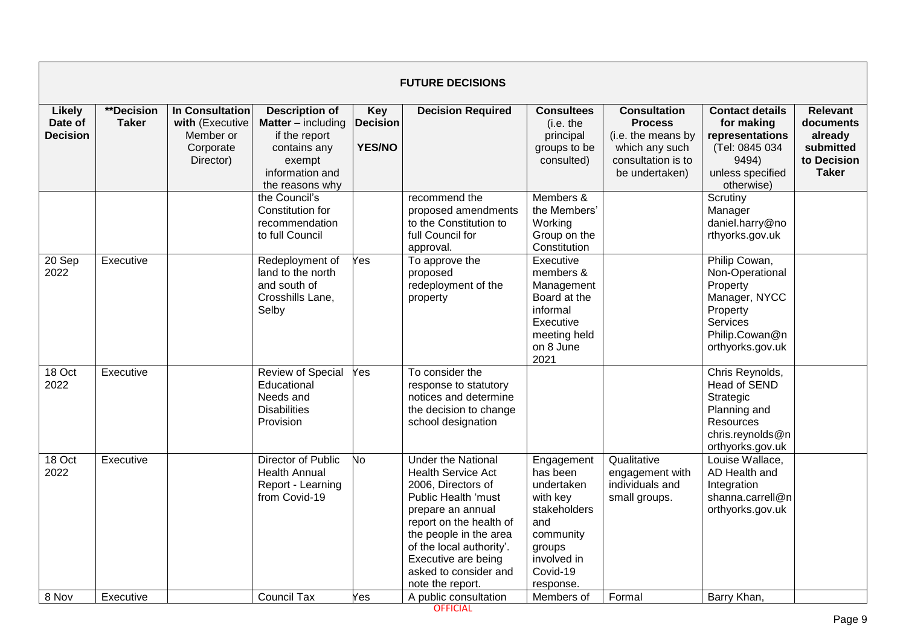|                                             | <b>FUTURE DECISIONS</b>    |                                                                           |                                                                                                                              |                                                |                                                                                                                                                                                                                                                                               |                                                                                                                                        |                                                                                                                       |                                                                                                                                    |                                                                                     |  |  |  |
|---------------------------------------------|----------------------------|---------------------------------------------------------------------------|------------------------------------------------------------------------------------------------------------------------------|------------------------------------------------|-------------------------------------------------------------------------------------------------------------------------------------------------------------------------------------------------------------------------------------------------------------------------------|----------------------------------------------------------------------------------------------------------------------------------------|-----------------------------------------------------------------------------------------------------------------------|------------------------------------------------------------------------------------------------------------------------------------|-------------------------------------------------------------------------------------|--|--|--|
| <b>Likely</b><br>Date of<br><b>Decision</b> | **Decision<br><b>Taker</b> | In Consultation<br>with (Executive<br>Member or<br>Corporate<br>Director) | Description of<br><b>Matter</b> – including<br>if the report<br>contains any<br>exempt<br>information and<br>the reasons why | <b>Key</b><br><b>Decision</b><br><b>YES/NO</b> | <b>Decision Required</b>                                                                                                                                                                                                                                                      | <b>Consultees</b><br>(i.e. the<br>principal<br>groups to be<br>consulted)                                                              | <b>Consultation</b><br><b>Process</b><br>(i.e. the means by<br>which any such<br>consultation is to<br>be undertaken) | <b>Contact details</b><br>for making<br>representations<br>(Tel: 0845 034<br>9494)<br>unless specified<br>otherwise)               | <b>Relevant</b><br>documents<br>already<br>submitted<br>to Decision<br><b>Taker</b> |  |  |  |
|                                             |                            |                                                                           | the Council's<br>Constitution for<br>recommendation<br>to full Council                                                       |                                                | recommend the<br>proposed amendments<br>to the Constitution to<br>full Council for<br>approval.                                                                                                                                                                               | Members &<br>the Members'<br>Working<br>Group on the<br>Constitution                                                                   |                                                                                                                       | Scrutiny<br>Manager<br>daniel.harry@no<br>rthyorks.gov.uk                                                                          |                                                                                     |  |  |  |
| 20 Sep<br>2022                              | Executive                  |                                                                           | Redeployment of<br>land to the north<br>and south of<br>Crosshills Lane,<br>Selby                                            | Yes                                            | To approve the<br>proposed<br>redeployment of the<br>property                                                                                                                                                                                                                 | Executive<br>members &<br>Management<br>Board at the<br>informal<br>Executive<br>meeting held<br>on 8 June<br>2021                     |                                                                                                                       | Philip Cowan,<br>Non-Operational<br>Property<br>Manager, NYCC<br>Property<br><b>Services</b><br>Philip.Cowan@n<br>orthyorks.gov.uk |                                                                                     |  |  |  |
| $18$ Oct<br>2022                            | Executive                  |                                                                           | <b>Review of Special</b><br>Educational<br>Needs and<br><b>Disabilities</b><br>Provision                                     | Yes                                            | To consider the<br>response to statutory<br>notices and determine<br>the decision to change<br>school designation                                                                                                                                                             |                                                                                                                                        |                                                                                                                       | Chris Reynolds,<br><b>Head of SEND</b><br>Strategic<br>Planning and<br>Resources<br>chris.reynolds@n<br>orthyorks.gov.uk           |                                                                                     |  |  |  |
| 18 Oct<br>2022                              | Executive                  |                                                                           | Director of Public<br><b>Health Annual</b><br>Report - Learning<br>from Covid-19                                             | No                                             | <b>Under the National</b><br><b>Health Service Act</b><br>2006, Directors of<br>Public Health 'must<br>prepare an annual<br>report on the health of<br>the people in the area<br>of the local authority'.<br>Executive are being<br>asked to consider and<br>note the report. | Engagement<br>has been<br>undertaken<br>with key<br>stakeholders<br>and<br>community<br>groups<br>involved in<br>Covid-19<br>response. | Qualitative<br>engagement with<br>individuals and<br>small groups.                                                    | Louise Wallace,<br>AD Health and<br>Integration<br>shanna.carrell@n<br>orthyorks.gov.uk                                            |                                                                                     |  |  |  |
| 8 Nov                                       | Executive                  |                                                                           | <b>Council Tax</b>                                                                                                           | Yes                                            | A public consultation                                                                                                                                                                                                                                                         | Members of                                                                                                                             | Formal                                                                                                                | Barry Khan,                                                                                                                        |                                                                                     |  |  |  |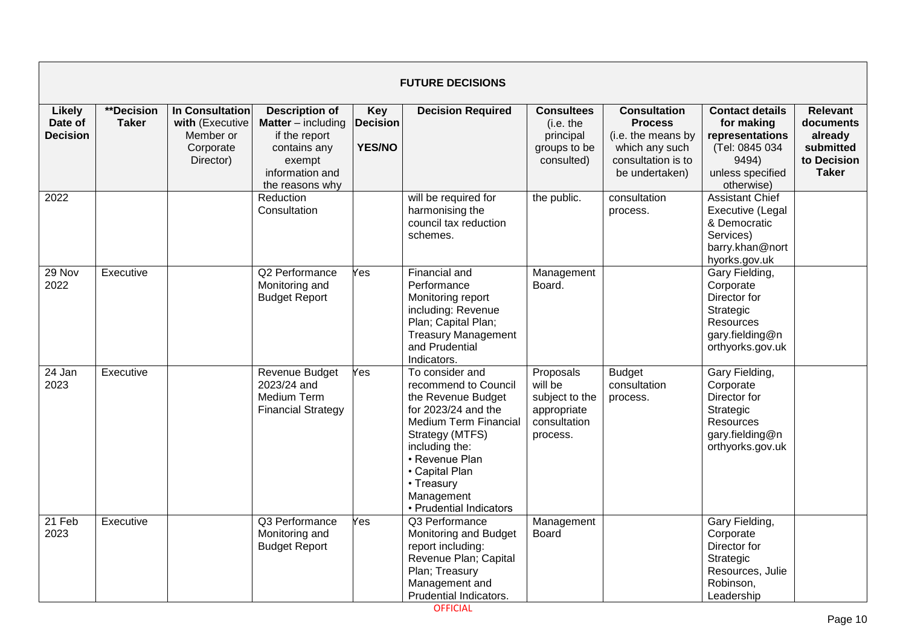|                                             | <b>FUTURE DECISIONS</b>    |                                                                           |                                                                                                                                     |                                                |                                                                                                                                                                                                                                               |                                                                                   |                                                                                                                       |                                                                                                                      |                                                                                     |  |  |  |
|---------------------------------------------|----------------------------|---------------------------------------------------------------------------|-------------------------------------------------------------------------------------------------------------------------------------|------------------------------------------------|-----------------------------------------------------------------------------------------------------------------------------------------------------------------------------------------------------------------------------------------------|-----------------------------------------------------------------------------------|-----------------------------------------------------------------------------------------------------------------------|----------------------------------------------------------------------------------------------------------------------|-------------------------------------------------------------------------------------|--|--|--|
| <b>Likely</b><br>Date of<br><b>Decision</b> | **Decision<br><b>Taker</b> | In Consultation<br>with (Executive<br>Member or<br>Corporate<br>Director) | <b>Description of</b><br><b>Matter</b> – including<br>if the report<br>contains any<br>exempt<br>information and<br>the reasons why | <b>Key</b><br><b>Decision</b><br><b>YES/NO</b> | <b>Decision Required</b>                                                                                                                                                                                                                      | <b>Consultees</b><br>(i.e. the<br>principal<br>groups to be<br>consulted)         | <b>Consultation</b><br><b>Process</b><br>(i.e. the means by<br>which any such<br>consultation is to<br>be undertaken) | <b>Contact details</b><br>for making<br>representations<br>(Tel: 0845 034<br>9494)<br>unless specified<br>otherwise) | <b>Relevant</b><br>documents<br>already<br>submitted<br>to Decision<br><b>Taker</b> |  |  |  |
| 2022                                        |                            |                                                                           | Reduction<br>Consultation                                                                                                           |                                                | will be required for<br>harmonising the<br>council tax reduction<br>schemes.                                                                                                                                                                  | the public.                                                                       | consultation<br>process.                                                                                              | <b>Assistant Chief</b><br>Executive (Legal<br>& Democratic<br>Services)<br>barry.khan@nort<br>hyorks.gov.uk          |                                                                                     |  |  |  |
| 29 Nov<br>2022                              | Executive                  |                                                                           | Q2 Performance<br>Monitoring and<br><b>Budget Report</b>                                                                            | Yes                                            | <b>Financial and</b><br>Performance<br>Monitoring report<br>including: Revenue<br>Plan; Capital Plan;<br><b>Treasury Management</b><br>and Prudential<br>Indicators.                                                                          | Management<br>Board.                                                              |                                                                                                                       | Gary Fielding,<br>Corporate<br>Director for<br>Strategic<br>Resources<br>gary.fielding@n<br>orthyorks.gov.uk         |                                                                                     |  |  |  |
| 24 Jan<br>2023                              | Executive                  |                                                                           | Revenue Budget<br>2023/24 and<br><b>Medium Term</b><br><b>Financial Strategy</b>                                                    | Yes                                            | To consider and<br>recommend to Council<br>the Revenue Budget<br>for 2023/24 and the<br>Medium Term Financial<br>Strategy (MTFS)<br>including the:<br>• Revenue Plan<br>• Capital Plan<br>• Treasury<br>Management<br>• Prudential Indicators | Proposals<br>will be<br>subject to the<br>appropriate<br>consultation<br>process. | <b>Budget</b><br>consultation<br>process.                                                                             | Gary Fielding,<br>Corporate<br>Director for<br>Strategic<br>Resources<br>gary.fielding@n<br>orthyorks.gov.uk         |                                                                                     |  |  |  |
| 21 Feb<br>2023                              | Executive                  |                                                                           | Q3 Performance<br>Monitoring and<br><b>Budget Report</b>                                                                            | Yes                                            | Q3 Performance<br>Monitoring and Budget<br>report including:<br>Revenue Plan; Capital<br>Plan; Treasury<br>Management and<br><b>Prudential Indicators.</b>                                                                                    | Management<br><b>Board</b>                                                        |                                                                                                                       | Gary Fielding,<br>Corporate<br>Director for<br>Strategic<br>Resources, Julie<br>Robinson,<br>Leadership              |                                                                                     |  |  |  |